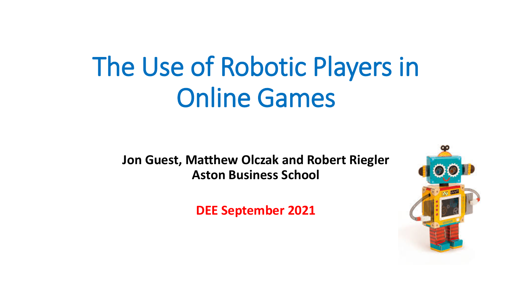# The Use of Robotic Players in Online Games

**Jon Guest, Matthew Olczak and Robert Riegler Aston Business School** 

**DEE September 2021**

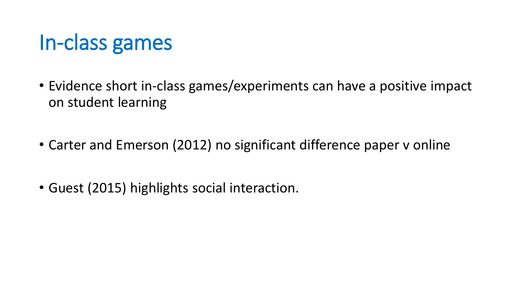#### In-class games

- Evidence short in-class games/experiments can have a positive impact on student learning
- Carter and Emerson (2012) no significant difference paper v online
- Guest (2015) highlights social interaction.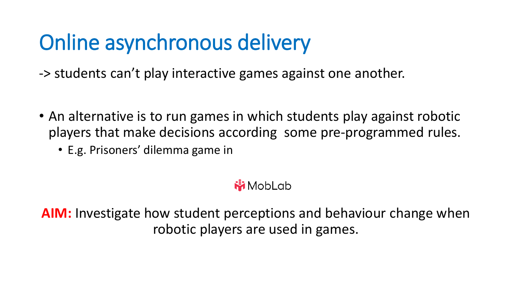# Online asynchronous delivery

-> students can't play interactive games against one another.

- An alternative is to run games in which students play against robotic players that make decisions according some pre-programmed rules.
	- E.g. Prisoners' dilemma game in

#### **MobLab**

**AIM:** Investigate how student perceptions and behaviour change when robotic players are used in games.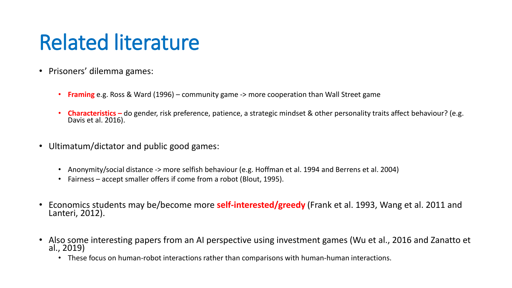### Related literature

- Prisoners' dilemma games:
	- **Framing** e.g. Ross & Ward (1996) community game -> more cooperation than Wall Street game
	- **Characteristics –** do gender, risk preference, patience, a strategic mindset & other personality traits affect behaviour? (e.g. Davis et al. 2016).
- Ultimatum/dictator and public good games:
	- Anonymity/social distance -> more selfish behaviour (e.g. Hoffman et al. 1994 and Berrens et al. 2004)
	- Fairness accept smaller offers if come from a robot (Blout, 1995).
- Economics students may be/become more **self-interested/greedy** (Frank et al. 1993, Wang et al. 2011 and Lanteri, 2012).
- Also some interesting papers from an AI perspective using investment games (Wu et al., 2016 and Zanatto et al., 2019)
	- These focus on human-robot interactions rather than comparisons with human-human interactions.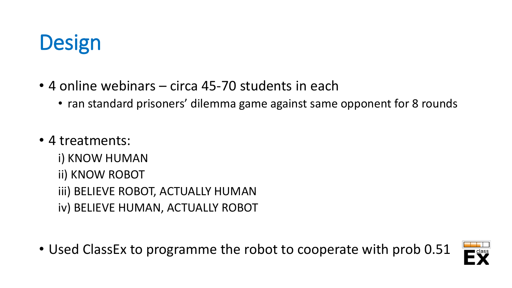# **Design**

- 4 online webinars circa 45-70 students in each
	- ran standard prisoners' dilemma game against same opponent for 8 rounds
- 4 treatments:
	- i) KNOW HUMAN
	- ii) KNOW ROBOT
	- iii) BELIEVE ROBOT, ACTUALLY HUMAN
	- iv) BELIEVE HUMAN, ACTUALLY ROBOT
- Used ClassEx to programme the robot to cooperate with prob 0.51

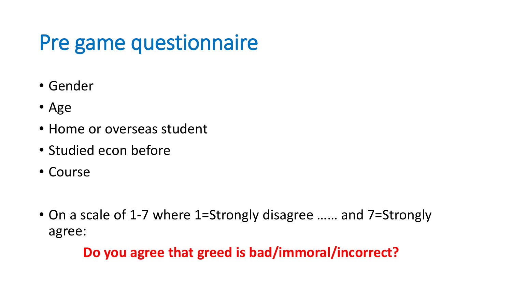# Pre game questionnaire

- Gender
- Age
- Home or overseas student
- Studied econ before
- Course
- On a scale of 1-7 where 1=Strongly disagree …… and 7=Strongly agree:

#### **Do you agree that greed is bad/immoral/incorrect?**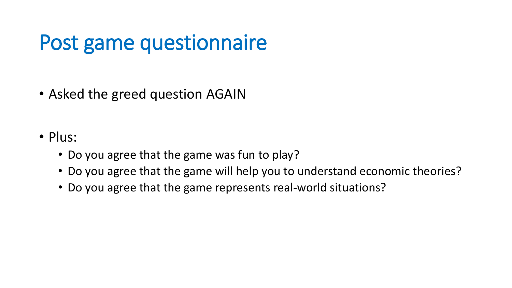### Post game questionnaire

- Asked the greed question AGAIN
- Plus:
	- Do you agree that the game was fun to play?
	- Do you agree that the game will help you to understand economic theories?
	- Do you agree that the game represents real-world situations?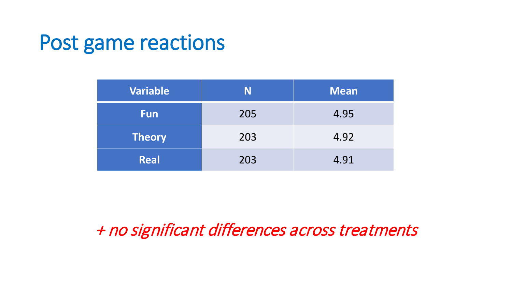#### Post game reactions

| <b>Variable</b> | N   | <b>Mean</b> |
|-----------------|-----|-------------|
| <b>Fun</b>      | 205 | 4.95        |
| <b>Theory</b>   | 203 | 4.92        |
| <b>Real</b>     | 203 | 4.91        |

+ no significant differences across treatments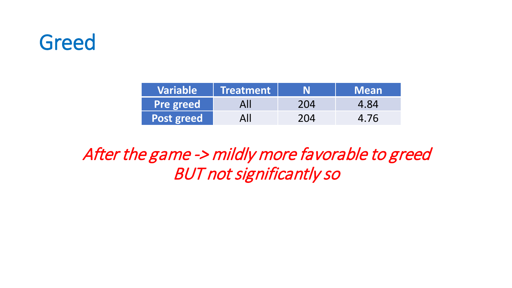#### Greed

| <b>Variable</b>   | Treatment |     | <b>Mean</b> |
|-------------------|-----------|-----|-------------|
| <b>Pre greed</b>  | All       | 204 | 4.84        |
| <b>Post greed</b> | All       | 204 | 4.76        |

After the game -> mildly more favorable to greed BUT not significantly so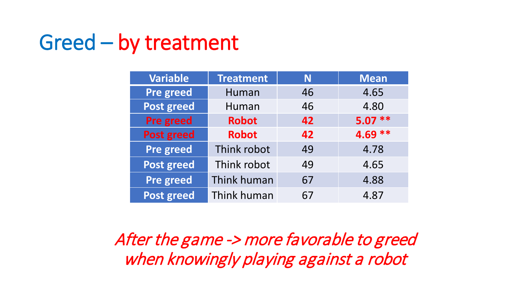#### Greed – by treatment

| <b>Variable</b>   | <b>Treatment</b> | N  | <b>Mean</b> |
|-------------------|------------------|----|-------------|
| Pre greed         | Human            | 46 | 4.65        |
| <b>Post greed</b> | Human            | 46 | 4.80        |
| <b>Pre greed</b>  | <b>Robot</b>     | 42 | $5.07**$    |
| <b>Post greed</b> | <b>Robot</b>     | 42 | $4.69**$    |
| <b>Pre greed</b>  | Think robot      | 49 | 4.78        |
| <b>Post greed</b> | Think robot      | 49 | 4.65        |
| <b>Pre greed</b>  | Think human      | 67 | 4.88        |
| <b>Post greed</b> | Think human      | 67 | 4.87        |

After the game -> more favorable to greed when knowingly playing against a robot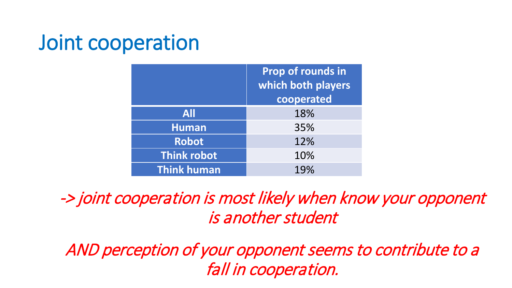#### Joint cooperation

|                    | Prop of rounds in<br>which both players<br>cooperated |
|--------------------|-------------------------------------------------------|
| <b>All</b>         | 18%                                                   |
| <b>Human</b>       | 35%                                                   |
| <b>Robot</b>       | 12%                                                   |
| <b>Think robot</b> | 10%                                                   |
| <b>Think human</b> | 19%                                                   |

-> joint cooperation is most likely when know your opponent is another student

AND perception of your opponent seems to contribute to a fall in cooperation.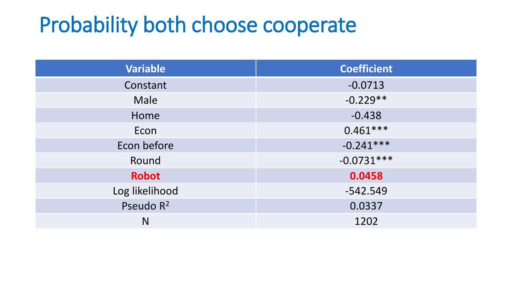### Probability both choose cooperate

| <b>Variable</b>       | <b>Coefficient</b> |
|-----------------------|--------------------|
| Constant              | $-0.0713$          |
| Male                  | $-0.229**$         |
| Home                  | $-0.438$           |
| Econ                  | $0.461***$         |
| Econ before           | $-0.241***$        |
| Round                 | $-0.0731***$       |
| <b>Robot</b>          | 0.0458             |
| Log likelihood        | $-542.549$         |
| Pseudo R <sup>2</sup> | 0.0337             |
| N                     | 1202               |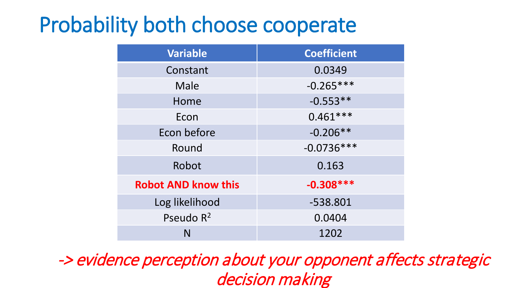### Probability both choose cooperate

| <b>Variable</b>            | <b>Coefficient</b> |
|----------------------------|--------------------|
| Constant                   | 0.0349             |
| Male                       | $-0.265***$        |
| Home                       | $-0.553**$         |
| Econ                       | $0.461***$         |
| Econ before                | $-0.206**$         |
| Round                      | $-0.0736***$       |
| Robot                      | 0.163              |
| <b>Robot AND know this</b> | $-0.308***$        |
| Log likelihood             | -538.801           |
| Pseudo R <sup>2</sup>      | 0.0404             |
| N                          | 1202               |

-> evidence perception about your opponent affects strategic decision making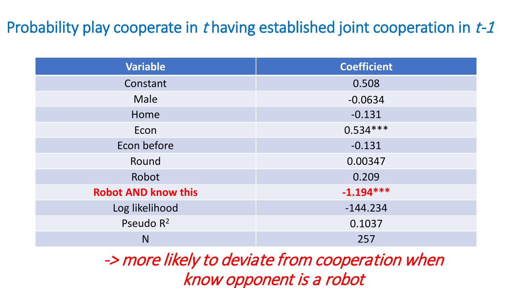#### Probability play cooperate in t having established joint cooperation in t-1

| <b>Variable</b>            | <b>Coefficient</b> |
|----------------------------|--------------------|
| Constant                   | 0.508              |
| Male                       | $-0.0634$          |
| Home                       | $-0.131$           |
| Econ                       | $0.534***$         |
| Econ before                | $-0.131$           |
| Round                      | 0.00347            |
| Robot                      | 0.209              |
| <b>Robot AND know this</b> | $-1.194***$        |
| Log likelihood             | $-144.234$         |
| Pseudo R <sup>2</sup>      | 0.1037             |
| N                          | 257                |

-> more likely to deviate from cooperation when know opponent is a robot